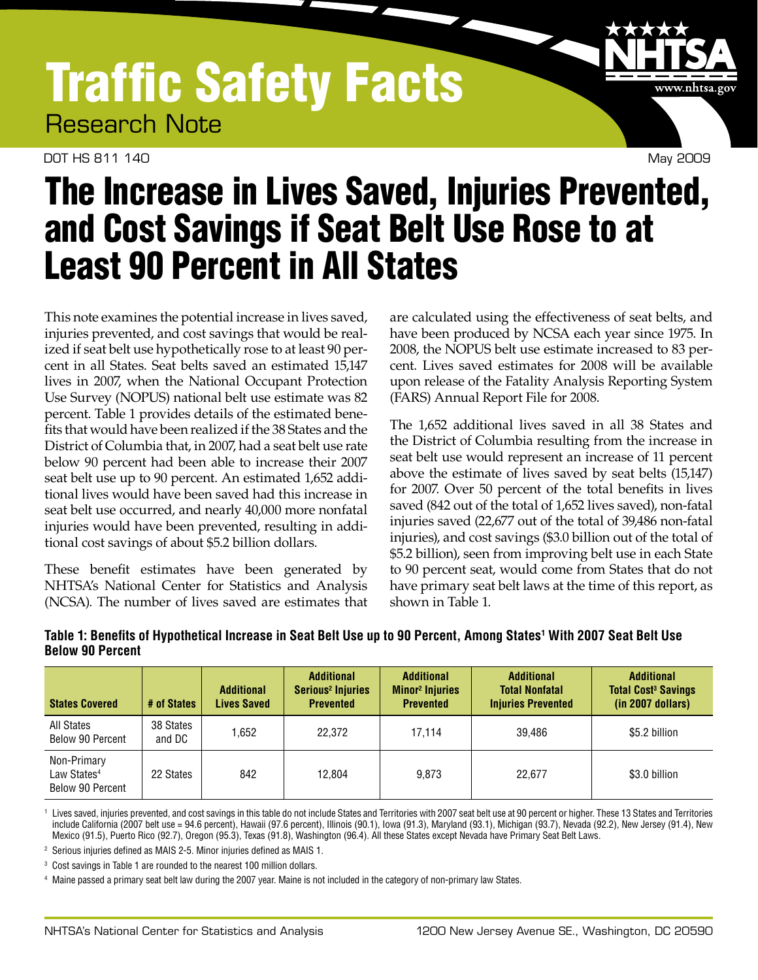## Traffic Safety Facts Research Note

DOT HS 811 140 May 2009



## The Increase in Lives Saved, Injuries Prevented, and Cost Savings if Seat Belt Use Rose to at Least 90 Percent in All States

This note examines the potential increase in lives saved, injuries prevented, and cost savings that would be realized if seat belt use hypothetically rose to at least 90 percent in all States. Seat belts saved an estimated 15,147 lives in 2007, when the National Occupant Protection Use Survey (NOPUS) national belt use estimate was 82 percent. Table 1 provides details of the estimated benefits that would have been realized if the 38 States and the District of Columbia that, in 2007, had a seat belt use rate below 90 percent had been able to increase their 2007 seat belt use up to 90 percent. An estimated 1,652 additional lives would have been saved had this increase in seat belt use occurred, and nearly 40,000 more nonfatal injuries would have been prevented, resulting in additional cost savings of about \$5.2 billion dollars.

These benefit estimates have been generated by NHTSA's National Center for Statistics and Analysis (NCSA). The number of lives saved are estimates that are calculated using the effectiveness of seat belts, and have been produced by NCSA each year since 1975. In 2008, the NOPUS belt use estimate increased to 83 percent. Lives saved estimates for 2008 will be available upon release of the Fatality Analysis Reporting System (FARS) Annual Report File for 2008.

The 1,652 additional lives saved in all 38 States and the District of Columbia resulting from the increase in seat belt use would represent an increase of 11 percent above the estimate of lives saved by seat belts (15,147) for 2007. Over 50 percent of the total benefits in lives saved (842 out of the total of 1,652 lives saved), non-fatal injuries saved (22,677 out of the total of 39,486 non-fatal injuries), and cost savings (\$3.0 billion out of the total of \$5.2 billion), seen from improving belt use in each State to 90 percent seat, would come from States that do not have primary seat belt laws at the time of this report, as shown in Table 1.

| <b>States Covered</b>                                      | # of States         | <b>Additional</b><br><b>Lives Saved</b> | <b>Additional</b><br>Serious <sup>2</sup> Injuries<br><b>Prevented</b> | <b>Additional</b><br><b>Minor<sup>2</sup></b> Injuries<br><b>Prevented</b> | <b>Additional</b><br><b>Total Nonfatal</b><br><b>Injuries Prevented</b> | <b>Additional</b><br><b>Total Cost<sup>3</sup> Savings</b><br>(in 2007 dollars) |
|------------------------------------------------------------|---------------------|-----------------------------------------|------------------------------------------------------------------------|----------------------------------------------------------------------------|-------------------------------------------------------------------------|---------------------------------------------------------------------------------|
| All States<br>Below 90 Percent                             | 38 States<br>and DC | 1,652                                   | 22.372                                                                 | 17.114                                                                     | 39.486                                                                  | \$5.2 billion                                                                   |
| Non-Primary<br>Law States <sup>4</sup><br>Below 90 Percent | 22 States           | 842                                     | 12.804                                                                 | 9.873                                                                      | 22.677                                                                  | \$3.0 billion                                                                   |

## **Table 1: Benefits of Hypothetical Increase in Seat Belt Use up to 90 Percent, Among States1 With 2007 Seat Belt Use Below 90 Percent**

1 Lives saved, injuries prevented, and cost savings in this table do not include States and Territories with 2007 seat belt use at 90 percent or higher. These 13 States and Territories include California (2007 belt use = 94.6 percent), Hawaii (97.6 percent), Illinois (90.1), Iowa (91.3), Maryland (93.1), Michigan (93.7), Nevada (92.2), New Jersey (91.4), New Mexico (91.5), Puerto Rico (92.7), Oregon (95.3), Texas (91.8), Washington (96.4). All these States except Nevada have Primary Seat Belt Laws.

<sup>2</sup> Serious injuries defined as MAIS 2-5. Minor injuries defined as MAIS 1.

<sup>3</sup> Cost savings in Table 1 are rounded to the nearest 100 million dollars.

<sup>4</sup> Maine passed a primary seat belt law during the 2007 year. Maine is not included in the category of non-primary law States.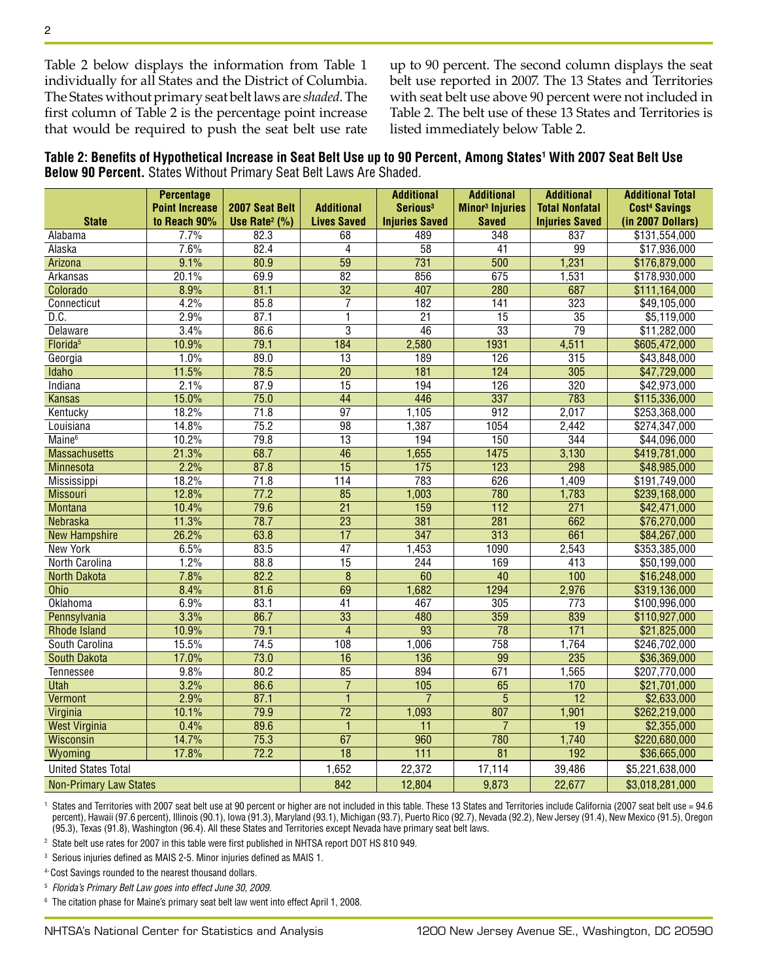Table 2 below displays the information from Table 1 individually for all States and the District of Columbia. The States without primary seat belt laws are *shaded*. The first column of Table 2 is the percentage point increase that would be required to push the seat belt use rate up to 90 percent. The second column displays the seat belt use reported in 2007. The 13 States and Territories with seat belt use above 90 percent were not included in Table 2. The belt use of these 13 States and Territories is listed immediately below Table 2.

**Table 2: Benefits of Hypothetical Increase in Seat Belt Use up to 90 Percent, Among States1 With 2007 Seat Belt Use Below 90 Percent.** States Without Primary Seat Belt Laws Are Shaded.

|                               | <b>Percentage</b>     |                               |                    | <b>Additional</b>     | <b>Additional</b>                 | <b>Additional</b>     | <b>Additional Total</b>         |
|-------------------------------|-----------------------|-------------------------------|--------------------|-----------------------|-----------------------------------|-----------------------|---------------------------------|
|                               | <b>Point Increase</b> | 2007 Seat Belt                | <b>Additional</b>  | Serious <sup>3</sup>  | <b>Minor<sup>3</sup></b> Injuries | <b>Total Nonfatal</b> | <b>Cost<sup>4</sup> Savings</b> |
| <b>State</b>                  | to Reach 90%          | Use Rate <sup>2</sup> $(\% )$ | <b>Lives Saved</b> | <b>Injuries Saved</b> | <b>Saved</b>                      | <b>Injuries Saved</b> | (in 2007 Dollars)               |
| Alabama                       | 7.7%                  | 82.3                          | 68                 | 489                   | 348                               | 837                   | \$131,554,000                   |
| Alaska                        | 7.6%                  | 82.4                          | $\overline{4}$     | $\overline{58}$       | 41                                | 99                    | \$17,936,000                    |
| Arizona                       | 9.1%                  | 80.9                          | $\overline{59}$    | $\overline{731}$      | $\overline{500}$                  | 1,231                 | \$176,879,000                   |
| Arkansas                      | 20.1%                 | 69.9                          | $\overline{82}$    | 856                   | 675                               | 1,531                 | \$178,930,000                   |
| Colorado                      | 8.9%                  | 81.1                          | $\overline{32}$    | 407                   | 280                               | 687                   | \$111,164,000                   |
| Connecticut                   | 4.2%                  | 85.8                          | 7                  | 182                   | 141                               | $\overline{323}$      | \$49,105,000                    |
| D.C.                          | 2.9%                  | 87.1                          | 1                  | $\overline{21}$       | $\overline{15}$                   | $\overline{35}$       | \$5,119,000                     |
| Delaware                      | 3.4%                  | 86.6                          | $\overline{3}$     | $\overline{46}$       | $\overline{33}$                   | $\overline{79}$       | \$11,282,000                    |
| Florida <sup>5</sup>          | 10.9%                 | 79.1                          | 184                | 2,580                 | 1931                              | 4,511                 | \$605,472,000                   |
| Georgia                       | 1.0%                  | 89.0                          | $\overline{13}$    | 189                   | 126                               | 315                   | \$43,848,000                    |
| Idaho                         | 11.5%                 | 78.5                          | $\overline{20}$    | 181                   | 124                               | 305                   | \$47,729,000                    |
| Indiana                       | 2.1%                  | 87.9                          | $\overline{15}$    | 194                   | 126                               | $\overline{320}$      | \$42,973,000                    |
| <b>Kansas</b>                 | 15.0%                 | 75.0                          | $\overline{44}$    | 446                   | 337                               | 783                   | \$115,336,000                   |
| Kentucky                      | 18.2%                 | 71.8                          | $\overline{97}$    | 1,105                 | $\overline{912}$                  | 2,017                 | \$253,368,000                   |
| Louisiana                     | 14.8%                 | 75.2                          | 98                 | 1,387                 | 1054                              | 2,442                 | \$274,347,000                   |
| Maine <sup>6</sup>            | 10.2%                 | 79.8                          | $\overline{13}$    | 194                   | 150                               | 344                   | \$44,096,000                    |
| <b>Massachusetts</b>          | 21.3%                 | 68.7                          | $\overline{46}$    | 1,655                 | 1475                              | 3,130                 | \$419,781,000                   |
| <b>Minnesota</b>              | 2.2%                  | 87.8                          | $\overline{15}$    | $\frac{175}{175}$     | $\overline{123}$                  | 298                   | \$48,985,000                    |
| <b>Mississippi</b>            | 18.2%                 | 71.8                          | 114                | 783                   | 626                               | 1,409                 | \$191,749,000                   |
| <b>Missouri</b>               | 12.8%                 | 77.2                          | 85                 | 1,003                 | 780                               | 1,783                 | \$239,168,000                   |
| <b>Montana</b>                | 10.4%                 | 79.6                          | $\overline{21}$    | 159                   | $\overline{112}$                  | $\overline{271}$      | \$42,471,000                    |
| <b>Nebraska</b>               | 11.3%                 | 78.7                          | $\overline{23}$    | 381                   | $\overline{281}$                  | 662                   | \$76,270,000                    |
| <b>New Hampshire</b>          | 26.2%                 | 63.8                          | $\overline{17}$    | $\overline{347}$      | $\overline{313}$                  | 661                   | \$84,267,000                    |
| <b>New York</b>               | 6.5%                  | 83.5                          | $\overline{47}$    | 1,453                 | 1090                              | 2,543                 | \$353,385,000                   |
| North Carolina                | 1.2%                  | 88.8                          | 15                 | 244                   | 169                               | 413                   | \$50,199,000                    |
| <b>North Dakota</b>           | 7.8%                  | 82.2                          | $\overline{8}$     | 60                    | 40                                | 100                   | \$16,248,000                    |
| Ohio                          | 8.4%                  | 81.6                          | 69                 | 1,682                 | 1294                              | 2,976                 | \$319,136,000                   |
| <b>Oklahoma</b>               | 6.9%                  | 83.1                          | $\overline{41}$    | 467                   | 305                               | $\overline{773}$      | \$100,996,000                   |
| Pennsylvania                  | 3.3%                  | 86.7                          | 33                 | 480                   | 359                               | 839                   | \$110,927,000                   |
| <b>Rhode Island</b>           | 10.9%                 | 79.1                          | $\overline{4}$     | $\overline{93}$       | $\overline{78}$                   | $\overline{171}$      | \$21,825,000                    |
| South Carolina                | 15.5%                 | 74.5                          | 108                | 1,006                 | $\overline{758}$                  | 1,764                 | \$246,702,000                   |
| <b>South Dakota</b>           | 17.0%                 | 73.0                          | $\overline{16}$    | 136                   | 99                                | 235                   | \$36,369,000                    |
| <b>Tennessee</b>              | 9.8%                  | 80.2                          | $\overline{85}$    | 894                   | 671                               | 1,565                 | \$207,770,000                   |
| <b>Utah</b>                   | 3.2%                  | 86.6                          | $\overline{7}$     | 105                   | 65                                | 170                   | \$21,701,000                    |
| <b>Vermont</b>                | 2.9%                  | 87.1                          | 1                  | $\overline{7}$        | $\overline{5}$                    | $\overline{12}$       | \$2,633,000                     |
| Virginia                      | 10.1%                 | 79.9                          | $\overline{72}$    | 1,093                 | 807                               | 1,901                 | \$262,219,000                   |
| <b>West Virginia</b>          | 0.4%                  | 89.6                          | $\mathbf{1}$       | $\overline{11}$       | $\overline{7}$                    | 19                    | \$2,355,000                     |
| <b>Wisconsin</b>              | 14.7%                 | 75.3                          | 67                 | 960                   | 780                               | 1,740                 | \$220,680,000                   |
| Wyoming                       | 17.8%                 | 72.2                          | $\overline{18}$    | $\overline{111}$      | $\overline{81}$                   | $\overline{192}$      | \$36,665,000                    |
| <b>United States Total</b>    |                       |                               | 1,652              | 22,372                | 17,114                            | 39,486                | \$5,221,638,000                 |
| <b>Non-Primary Law States</b> |                       |                               | 842                | 12,804                | 9,873                             | 22,677                | \$3,018,281,000                 |

1 States and Territories with 2007 seat belt use at 90 percent or higher are not included in this table. These 13 States and Territories include California (2007 seat belt use = 94.6 percent), Hawaii (97.6 percent), Illinois (90.1), Iowa (91.3), Maryland (93.1), Michigan (93.7), Puerto Rico (92.7), Nevada (92.2), New Jersey (91.4), New Mexico (91.5), Oregon (95.3), Texas (91.8), Washington (96.4). All these States and Territories except Nevada have primary seat belt laws.

2 State belt use rates for 2007 in this table were first published in NHTSA report DOT HS 810 949.

3 Serious injuries defined as MAIS 2-5. Minor injuries defined as MAIS 1.

4- Cost Savings rounded to the nearest thousand dollars.

<sup>5</sup> *Florida's Primary Belt Law goes into effect June 30, 2009.*

6 The citation phase for Maine's primary seat belt law went into effect April 1, 2008.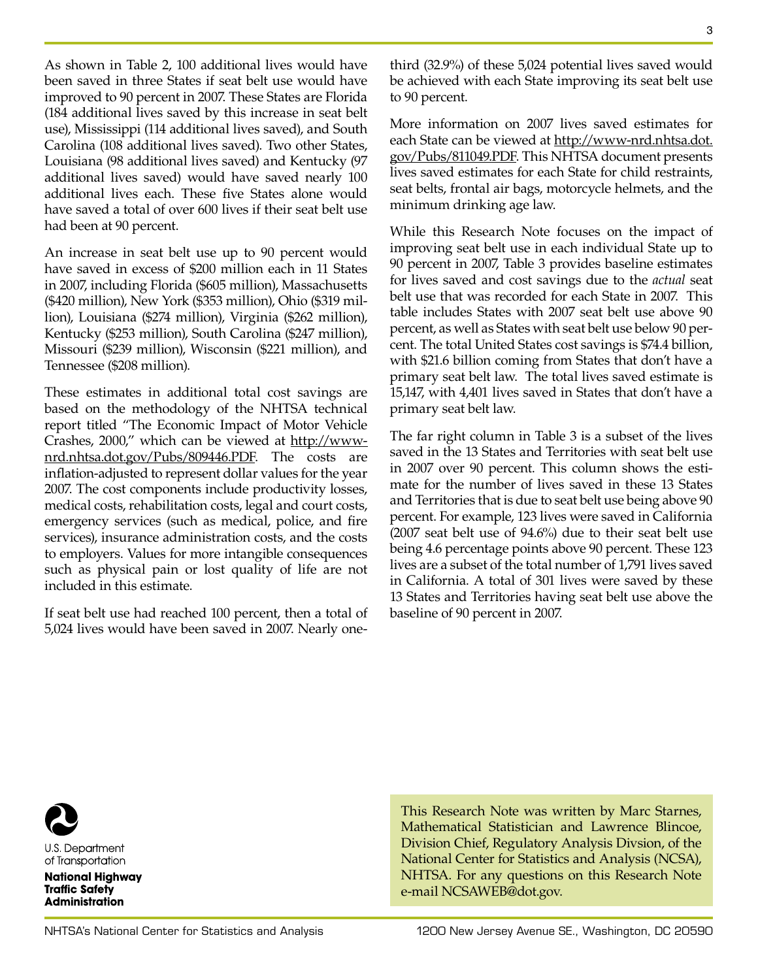As shown in Table 2, 100 additional lives would have been saved in three States if seat belt use would have improved to 90 percent in 2007. These States are Florida (184 additional lives saved by this increase in seat belt use), Mississippi (114 additional lives saved), and South Carolina (108 additional lives saved). Two other States, Louisiana (98 additional lives saved) and Kentucky (97 additional lives saved) would have saved nearly 100 additional lives each. These five States alone would have saved a total of over 600 lives if their seat belt use had been at 90 percent.

An increase in seat belt use up to 90 percent would have saved in excess of \$200 million each in 11 States in 2007, including Florida (\$605 million), Massachusetts (\$420 million), New York (\$353 million), Ohio (\$319 million), Louisiana (\$274 million), Virginia (\$262 million), Kentucky (\$253 million), South Carolina (\$247 million), Missouri (\$239 million), Wisconsin (\$221 million), and Tennessee (\$208 million).

These estimates in additional total cost savings are based on the methodology of the NHTSA technical report titled "The Economic Impact of Motor Vehicle Crashes, 2000," which can be viewed at http://wwwnrd.nhtsa.dot.gov/Pubs/809446.PDF. The costs are inflation-adjusted to represent dollar values for the year 2007. The cost components include productivity losses, medical costs, rehabilitation costs, legal and court costs, emergency services (such as medical, police, and fire services), insurance administration costs, and the costs to employers. Values for more intangible consequences such as physical pain or lost quality of life are not included in this estimate.

If seat belt use had reached 100 percent, then a total of 5,024 lives would have been saved in 2007. Nearly onethird (32.9%) of these 5,024 potential lives saved would be achieved with each State improving its seat belt use to 90 percent.

More information on 2007 lives saved estimates for each State can be viewed at http://www-nrd.nhtsa.dot. gov/Pubs/811049.PDF. This NHTSA document presents lives saved estimates for each State for child restraints, seat belts, frontal air bags, motorcycle helmets, and the minimum drinking age law.

While this Research Note focuses on the impact of improving seat belt use in each individual State up to 90 percent in 2007, Table 3 provides baseline estimates for lives saved and cost savings due to the *actual* seat belt use that was recorded for each State in 2007. This table includes States with 2007 seat belt use above 90 percent, as well as States with seat belt use below 90 percent. The total United States cost savings is \$74.4 billion, with \$21.6 billion coming from States that don't have a primary seat belt law. The total lives saved estimate is 15,147, with 4,401 lives saved in States that don't have a primary seat belt law.

The far right column in Table 3 is a subset of the lives saved in the 13 States and Territories with seat belt use in 2007 over 90 percent. This column shows the estimate for the number of lives saved in these 13 States and Territories that is due to seat belt use being above 90 percent. For example, 123 lives were saved in California (2007 seat belt use of 94.6%) due to their seat belt use being 4.6 percentage points above 90 percent. These 123 lives are a subset of the total number of 1,791 lives saved in California. A total of 301 lives were saved by these 13 States and Territories having seat belt use above the baseline of 90 percent in 2007.

**U.S. Department** 

of Transportation

**National Highway Traffic Safety Administration** 

This Research Note was written by Marc Starnes, Mathematical Statistician and Lawrence Blincoe, Division Chief, Regulatory Analysis Divsion, of the National Center for Statistics and Analysis (NCSA), NHTSA. For any questions on this Research Note e-mail NCSAWEB@dot.gov.